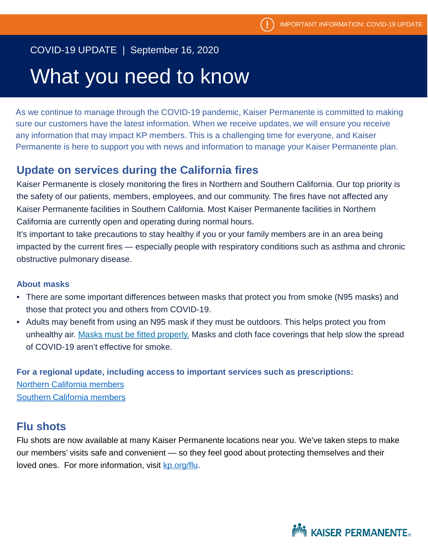### COVID-19 UPDATE | September 16, 2020

# What you need to know

As we continue to manage through the COVID-19 pandemic, Kaiser Permanente is committed to making sure our customers have the latest information. When we receive updates, we will ensure you receive any information that may impact KP members. This is a challenging time for everyone, and Kaiser Permanente is here to support you with news and information to manage your Kaiser Permanente plan.

#### **Update on services during the California fires**

Kaiser Permanente is closely monitoring the fires in Northern and Southern California. Our top priority is the safety of our patients, members, employees, and our community. The fires have not affected any Kaiser Permanente facilities in Southern California. Most Kaiser Permanente facilities in Northern California are currently open and operating during normal hours.

It's important to take precautions to stay healthy if you or your family members are in an area being impacted by the current fires — especially people with respiratory conditions such as asthma and chronic obstructive pulmonary disease.

#### **About masks**

- There are some important differences between masks that protect you from smoke (N95 masks) and those that protect you and others from COVID-19.
- Adults may benefit from using an N95 mask if they must be outdoors. This helps protect you from unhealthy air. [Masks must be fitted properly.](https://www.epa.gov/sites/production/files/2018-11/documents/the-right-respirator-and_proper-fit-508.pdf) Masks and cloth face coverings that help slow the spread of COVID-19 aren't effective for smoke.

**For a regional update, including access to important services such as prescriptions:**  [Northern California members](https://healthy.kaiserpermanente.org/northern-california/alerts/p2/northern-california-fires-august-2020) [Southern California members](https://healthy.kaiserpermanente.org/southern-california/alerts/p2/fire-update-aug-2020)

#### **Flu shots**

Flu shots are now available at many Kaiser Permanente locations near you. We've taken steps to make our members' visits safe and convenient — so they feel good about protecting themselves and their loved ones. For more information, visit [kp.org/flu](https://healthy.kaiserpermanente.org/southern-california/health-wellness/flu?kp_shortcut_referrer=kp.org/flu).